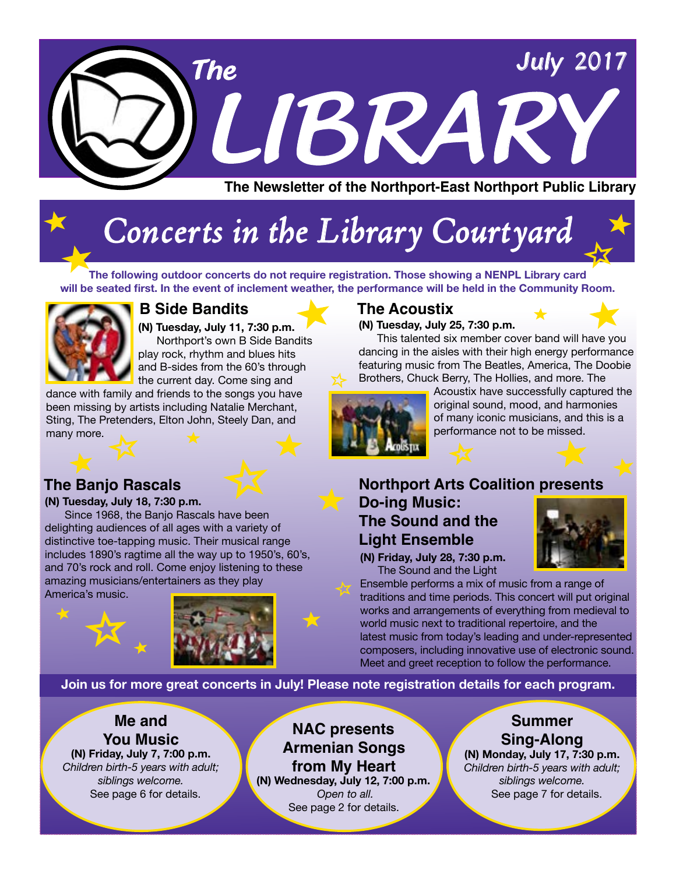

## *Concerts in the Library Courtyard*

**The following outdoor concerts do not require registration. Those showing a NENPL Library card will be seated first. In the event of inclement weather, the performance will be held in the Community Room.** 



#### **B Side Bandits The Acoustix**

**(N) Tuesday, July 11, 7:30 p.m.** Northport's own B Side Bandits play rock, rhythm and blues hits and B-sides from the 60's through the current day. Come sing and

dance with family and friends to the songs you have been missing by artists including Natalie Merchant, Sting, The Pretenders, Elton John, Steely Dan, and many more.

**(N) Tuesday, July 25, 7:30 p.m.** 

 This talented six member cover band will have you dancing in the aisles with their high energy performance featuring music from The Beatles, America, The Doobie Brothers, Chuck Berry, The Hollies, and more. The



Acoustix have successfully captured the original sound, mood, and harmonies of many iconic musicians, and this is a performance not to be missed.



**(N) Tuesday, July 18, 7:30 p.m.** 

Since 1968, the Banjo Rascals have been delighting audiences of all ages with a variety of distinctive toe-tapping music. Their musical range includes 1890's ragtime all the way up to 1950's, 60's, and 70's rock and roll. Come enjoy listening to these amazing musicians/entertainers as they play America's music.



#### **The Banjo Rascals Northport Arts Coalition presents Do-ing Music: The Sound and the Light Ensemble**

**(N) Friday, July 28, 7:30 p.m.** The Sound and the Light

Ensemble performs a mix of music from a range of traditions and time periods. This concert will put original works and arrangements of everything from medieval to world music next to traditional repertoire, and the latest music from today's leading and under-represented composers, including innovative use of electronic sound. Meet and greet reception to follow the performance.

**Join us for more great concerts in July! Please note registration details for each program.** 

#### **Me and You Music**

**(N) Friday, July 7, 7:00 p.m.** *Children birth-5 years with adult; siblings welcome.* See page 6 for details.

**NAC presents Armenian Songs from My Heart (N) Wednesday, July 12, 7:00 p.m.**  *Open to all.*  See page 2 for details.

#### **Summer Sing-Along**

**(N) Monday, July 17, 7:30 p.m.** *Children birth-5 years with adult; siblings welcome.* See page 7 for details.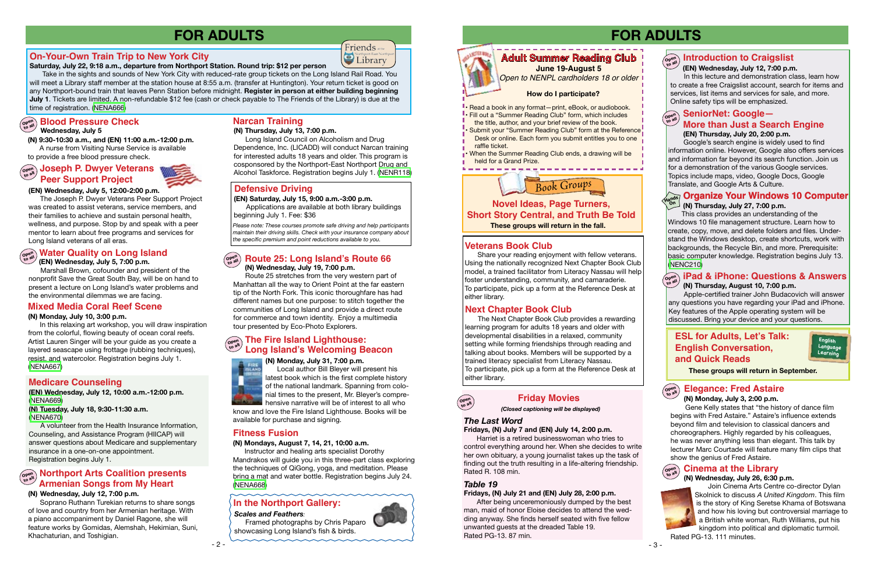#### **Veterans Book Club**

Share your reading enjoyment with fellow veterans. Using the nationally recognized Next Chapter Book Club model, a trained facilitator from Literacy Nassau will help foster understanding, community, and camaraderie. To participate, pick up a form at the Reference Desk at either library.

#### **Next Chapter Book Club**

The Next Chapter Book Club provides a rewarding learning program for adults 18 years and older with developmental disabilities in a relaxed, community setting while forming friendships through reading and talking about books. Members will be supported by a trained literacy specialist from Literacy Nassau. To participate, pick up a form at the Reference Desk at either library.



- 3 -



#### **ESL for Adults, Let's Talk: English Conversation, and Quick Reads**

#### **Novel Ideas, Page Turners, Short Story Central, and Truth Be Told These groups will return in the fall.**

**English Language Learning**

## **FOR ADULTS**

**These groups will return in September.**

- Read a book in any format—print, eBook, or audiobook.
- Fill out a "Summer Reading Club" form, which includes
- the title, author, and your brief review of the book. Submit your "Summer Reading Club" form at the Reference
- Desk or online. Each form you submit entitles you to one raffle ticket.
- When the Summer Reading Club ends, a drawing will be held for a Grand Prize.

#### **Organize Your Windows 10 Computer On**

## **Adult Summer Reading Club June 19-August 5**

#### Open<br>to all **to all SeniorNet: Google—**

*Open to NENPL cardholders 18 or older*

#### **How do I participate?**

#### **(EN) Wednesday, July 12, 7:00 p.m.**

 In this lecture and demonstration class, learn how to create a free Craigslist account, search for items and services, list items and services for sale, and more. Online safety tips will be emphasized.

#### **(N) Thursday, July 27, 7:00 p.m.**

This class provides an understanding of the Windows 10 file management structure. Learn how to create, copy, move, and delete folders and files. Understand the Windows desktop, create shortcuts, work with backgrounds, the Recycle Bin, and more. Prerequisite: basic computer knowledge. Registration begins July 13. [\(NENC210\)](http://alpha1.suffolk.lib.ny.us/record%3Dg1071120~S43)

Take in the sights and sounds of New York City with reduced-rate group tickets on the Long Island Rail Road. You will meet a Library staff member at the station house at 8:55 a.m. (transfer at Huntington). Your return ticket is good on any Northport-bound train that leaves Penn Station before midnight. **Register in person at either building beginning July 1**. Tickets are limited. A non-refundable \$12 fee (cash or check payable to The Friends of the Library) is due at the time of registration. [\(NENA666](http://alpha1.suffolk.lib.ny.us/record%3Dg1074109~S43))

## $\left(\begin{smallmatrix} \mathbf{C} & \mathbf{D} & \mathbf{D} & \mathbf{D} & \mathbf{D} & \mathbf{D} & \mathbf{D} & \mathbf{D} & \mathbf{D} & \mathbf{D} & \mathbf{D} & \mathbf{D} & \mathbf{D} & \mathbf{D} & \mathbf{D} & \mathbf{D} & \mathbf{D} & \mathbf{D} & \mathbf{D} & \mathbf{D} & \mathbf{D} & \mathbf{D} & \mathbf{D} & \mathbf{D} & \mathbf{D} & \mathbf{D} & \mathbf{D} & \mathbf{D} & \mathbf{D} & \mathbf{D} & \mathbf$

Apple-certified trainer John Budacovich will answer any questions you have regarding your iPad and iPhone. Key features of the Apple operating system will be discussed. Bring your device and your questions.

#### **(N) Thursday, August 10, 7:00 p.m. Open to all iPad & iPhone: Questions & Answers**

#### **Introduction to Craigslist Open to all**

 Google's search engine is widely used to find information online. However, Google also offers services and information far beyond its search function. Join us for a demonstration of the various Google services. Topics include maps, video, Google Docs, Google Translate, and Google Arts & Culture.

#### **(EN) Thursday, July 20, 2:00 p.m. More than Just a Search Engine**

#### **open Joseph P. Dwyer Veterans Peer Support Project**



#### **Friday Movies**

#### *Table 19*

#### **Fridays, (N) July 21 and (EN) July 28, 2:00 p.m.**

After being unceremoniously dumped by the best man, maid of honor Eloise decides to attend the wedding anyway. She finds herself seated with five fellow unwanted guests at the dreaded Table 19. Rated PG-13. 87 min.



*(Closed captioning will be displayed)*

#### *The Last Word*

#### **Fridays, (N) July 7 and (EN) July 14, 2:00 p.m.**

Harriet is a retired businesswoman who tries to control everything around her. When she decides to write her own obituary, a young journalist takes up the task of finding out the truth resulting in a life-altering friendship. Rated R. 108 min.

> Join Cinema Arts Centre co-director Dylan Skolnick to discuss *A United Kingdom*. This film is the story of King Seretse Khama of Botswana and how his loving but controversial marriage to a British white woman, Ruth Williams, put his kingdom into political and diplomatic turmoil. Rated PG-13. 111 minutes.

#### **(N) Wednesday, July 26, 6:30 p.m. Open to all Cinema at the Library**



#### **Morthport Arts Coalition presents Armenian Songs from My Heart**

 Gene Kelly states that "the history of dance film begins with Fred Astaire." Astaire's influence extends beyond film and television to classical dancers and choreographers. Highly regarded by his colleagues, he was never anything less than elegant. This talk by lecturer Marc Courtade will feature many film clips that show the genius of Fred Astaire.

#### **(N) Monday, July 3, 2:00 p.m. to all Elegance: Fred Astaire**



#### **On-Your-Own Train Trip to New York City**

**Saturday, July 22, 9:18 a.m., departure from Northport Station. Round trip: \$12 per person**

#### **(EN) Wednesday, July 5, 7:00 p.m.**

 Marshall Brown, cofounder and president of the nonprofit Save the Great South Bay, will be on hand to present a lecture on Long Island's water problems and the environmental dilemmas we are facing.

## **In the Northport Gallery:**

#### **(EN) Wednesday, July 5, 12:00-2:00 p.m.**

 The Joseph P. Dwyer Veterans Peer Support Project was created to assist veterans, service members, and their families to achieve and sustain personal health, wellness, and purpose. Stop by and speak with a peer mentor to learn about free programs and services for Long Island veterans of all eras.

#### **(N) Monday, July 10, 3:00 p.m.**

 In this relaxing art workshop, you will draw inspiration from the colorful, flowing beauty of ocean coral reefs. Artist Lauren Singer will be your guide as you create a layered seascape using frottage (rubbing techniques), resist, and watercolor. Registration begins July 1. [\(NENA667\)](http://alpha1.suffolk.lib.ny.us/record%3Dg1074090~S43)

#### **Mixed Media Coral Reef Scene**

## **Water Quality on Long Island Open to all**

#### **Open to all (N) Wednesday, July 19, 7:00 p.m. Route 25: Long Island's Route 66**

 Route 25 stretches from the very western part of Manhattan all the way to Orient Point at the far eastern tip of the North Fork. This iconic thoroughfare has had different names but one purpose: to stitch together the communities of Long Island and provide a direct route for commerce and town identity. Enjoy a multimedia tour presented by Eco-Photo Explorers.

#### **(N) Wednesday, July 12, 7:00 p.m.**

 Soprano Ruthann Turekian returns to share songs of love and country from her Armenian heritage. With a piano accompaniment by Daniel Ragone, she will feature works by Gomidas, Alemshah, Hekimian, Suni, Khachaturian, and Toshigian.

#### **(N) Monday, July 31, 7:00 p.m.**



 Local author Bill Bleyer will present his latest book which is the first complete history of the national landmark. Spanning from colonial times to the present, Mr. Bleyer's compre-

hensive narrative will be of interest to all who know and love the Fire Island Lighthouse. Books will be available for purchase and signing.

#### **(N) Mondays, August 7, 14, 21, 10:00 a.m.**

 Instructor and healing arts specialist Dorothy Mandrakos will guide you in this three-part class exploring the techniques of QiGong, yoga, and meditation. Please bring a mat and water bottle. Registration begins July 24. ([NENA668\)](http://alpha1.suffolk.lib.ny.us/record%3Dg1074107~S43)

#### **Open to all The Fire Island Lighthouse: Long Island's Welcoming Beacon**

#### **Fitness Fusion**

## **FOR ADULTS**

#### *Scales and Feathers:*

 Framed photographs by Chris Paparo showcasing Long Island's fish & birds.



#### **(N) Thursday, July 13, 7:00 p.m.**

 Long Island Council on Alcoholism and Drug Dependence, Inc. (LICADD) will conduct Narcan training for interested adults 18 years and older. This program is cosponsored by the Northport-East Northport Drug and Alcohol Taskforce. Registration begins July 1. [\(NENR118](http://alpha1.suffolk.lib.ny.us/record%3Dg1074247~S43))

**Friends** or the *Corthport-East Northp* 

## **Narcan Training**

**(EN) Wednesday, July 12, 10:00 a.m.-12:00 p.m.** ([NENA669\)](http://alpha1.suffolk.lib.ny.us/record%3Dg1074157~S43)

**(N) Tuesday, July 18, 9:30-11:30 a.m.**  ([NENA670\)](http://alpha1.suffolk.lib.ny.us/record%3Dg1074290~S43)

 A volunteer from the Health Insurance Information, Counseling, and Assistance Program (HIICAP) will answer questions about Medicare and supplementary insurance in a one-on-one appointment. Registration begins July 1.

#### **Medicare Counseling**

#### **Wednesday, July 5**

**(N) 9:30-10:30 a.m., and (EN) 11:00 a.m.-12:00 p.m.** A nurse from Visiting Nurse Service is available to provide a free blood pressure check.

#### **Defensive Driving**

*Please note: These courses promote safe driving and help participants maintain their driving skills. Check with your insurance company about the specific premium and point reductions available to you.*

**(EN) Saturday, July 15, 9:00 a.m.-3:00 p.m.** Applications are available at both library buildings beginning July 1. Fee: \$36

**Open to all**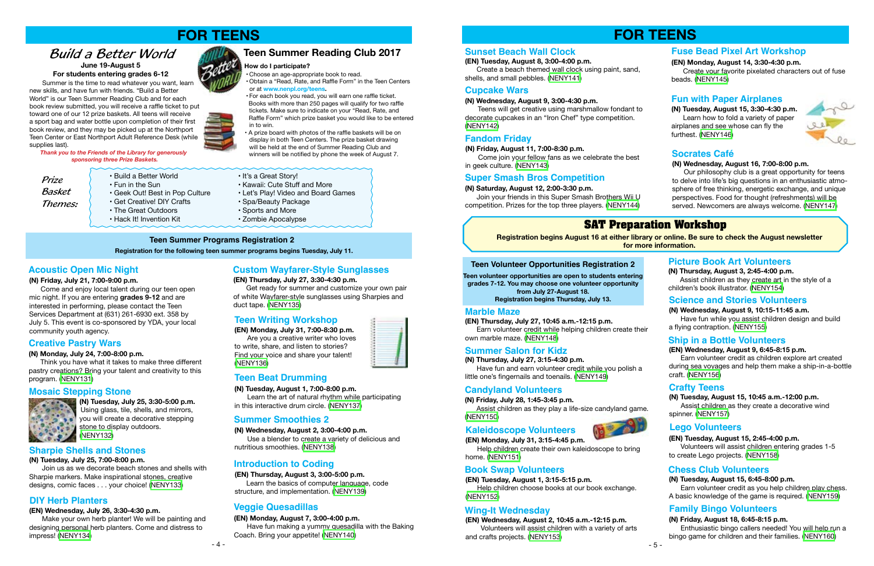#### **(N) Monday, July 24, 7:00-8:00 p.m.**

 Think you have what it takes to make three different pastry creations? Bring your talent and creativity to this program. [\(NENY131](http://alpha1.suffolk.lib.ny.us/record%3Dg1073582~S43))

> **(N) Tuesday, July 25, 3:30-5:00 p.m.**  Using glass, tile, shells, and mirrors, you will create a decorative stepping stone to display outdoors.<br>Stone to display outdoors. ([NENY132\)](http://alpha1.suffolk.lib.ny.us/record%3Dg1073583~S43)

**(N) Tuesday, July 25, 7:00-8:00 p.m.** 

Join us as we decorate beach stones and shells with Sharpie markers. Make inspirational stones, creative designs, comic faces . . . your choice! [\(NENY133](http://alpha1.suffolk.lib.ny.us/record%3Dg1073588~S43))

#### **(EN) Wednesday, July 26, 3:30-4:30 p.m.**

Make your own herb planter! We will be painting and designing personal herb planters. Come and distress to impress! [\(NENY134\)](http://alpha1.suffolk.lib.ny.us/record%3Dg1073593~S43)

#### **(EN) Thursday, July 27, 3:30-4:30 p.m.**

Get ready for summer and customize your own pair of white Wayfarer-style sunglasses using Sharpies and duct tape. ([NENY135](http://alpha1.suffolk.lib.ny.us/record%3Dg1073597~S43))

**(EN) Monday, July 31, 7:00-8:30 p.m.** Are you a creative writer who loves to write, share, and listen to stories? Find your voice and share your talent! ([NENY136\)](http://alpha1.suffolk.lib.ny.us/record%3Dg1073600~S43)

#### **Teen Summer Programs Registration 2**

## **FOR TEENS**

**(N) Tuesday, August 1, 7:00-8:00 p.m.** Learn the art of natural rhythm while participating in this interactive drum circle. ([NENY137\)](http://alpha1.suffolk.lib.ny.us/record%3Dg1073603~S43)

#### **Creative Pastry Wars**

#### **Mosaic Stepping Stone**



#### **Sharpie Shells and Stones**

#### **DIY Herb Planters**

#### **Custom Wayfarer-Style Sunglasses**

#### **Teen Writing Workshop**

#### **Teen Beat Drumming**

**Registration for the following teen summer programs begins Tuesday, July 11.**

**(N) Wednesday, August 2, 3:00-4:00 p.m.**

Use a blender to create a variety of delicious and nutritious smoothies. ([NENY138\)](http://alpha1.suffolk.lib.ny.us/record%3Dg1073607~S43)

#### **Summer Smoothies 2**

#### **(EN) Monday, August 7, 3:00-4:00 p.m.**

Have fun making a yummy quesadilla with the Baking Coach. Bring your appetite! [\(NENY140](http://alpha1.suffolk.lib.ny.us/record%3Dg1073611~S43))

#### **Veggie Quesadillas**

 $-4-$ 

#### **(EN) Thursday, August 3, 3:00-5:00 p.m.**

Learn the basics of computer language, code structure, and implementation. ([NENY139\)](http://alpha1.suffolk.lib.ny.us/record%3Dg1073608~S43)

#### **Introduction to Coding**

#### **Acoustic Open Mic Night**

#### **(N) Friday, July 21, 7:00-9:00 p.m.**

 Come and enjoy local talent during our teen open mic night. If you are entering **grades 9-12** and are interested in performing, please contact the Teen Services Department at (631) 261-6930 ext. 358 by July 5. This event is co-sponsored by YDA, your local community youth agency.

Summer is the time to read whatever you want, learn new skills, and have fun with friends. "Build a Better World" is our Teen Summer Reading Club and for each book review submitted, you will receive a raffle ticket to put toward one of our 12 prize baskets. All teens will receive a sport bag and water bottle upon completion of their first book review, and they may be picked up at the Northport Teen Center or East Northport Adult Reference Desk (while supplies last).



*Thank you to the Friends of the Library for generously sponsoring three Prize Baskets.*

• The Great Outdoors

- 
- Fun in the Sun Kawaii: Cute Stuff and More<br>• Geek Out! Best in Pop Culture Let's Play! Video and Board • Let's Play! Video and Board Games<br>• Spa/Beauty Package
- Get Creative! DIY Crafts Spa/Beauty Pack<br>• The Great Outdoors Sports and More
	-
- Hack It! Invention Kit 70mbie Apocalypse

**June 19-August 5 For students entering grades 6-12**

## *Build a Better World*



*Prize Basket Themes:* **Teen Summer Reading Club 2017**

• Choose an age-appropriate book to read.

• Obtain a "Read, Rate, and Raffle Form" in the Teen Centers

or at **www.nenpl.org/teens.**



 will be held at the end of Summer Reading Club and winners will be notified by phone the week of August 7.

**How do I participate?**

#### **(N) Wednesday, August 9, 3:00-4:30 p.m.**

Teens will get creative using marshmallow fondant to decorate cupcakes in an "Iron Chef" type competition. ([NENY142\)](http://alpha1.suffolk.lib.ny.us/record%3Dg1073626~S43)

#### **(N) Saturday, August 12, 2:00-3:30 p.m.**

Join your friends in this Super Smash Brothers Wii U competition. Prizes for the top three players. ([NENY144\)](http://alpha1.suffolk.lib.ny.us/record%3Dg1073634~S43)

#### **Cupcake Wars**

#### **Super Smash Bros Competition**

#### **Fandom Friday**

#### **(N) Friday, August 11, 7:00-8:30 p.m.**

Come join your fellow fans as we celebrate the best in geek culture. ([NENY143\)](http://alpha1.suffolk.lib.ny.us/record%3Dg1073632~S43)

> **Registration begins August 16 at either library or online. Be sure to check the August newsletter for more information.**

## **SAT Preparation Workshop**

**Teen volunteer opportunities are open to students entering grades 7-12. You may choose one volunteer opportunity from July 27-August 18. Registration begins Thursday, July 13.** 

**(EN) Thursday, July 27, 10:45 a.m.-12:15 p.m.**

 Earn volunteer credit while helping children create their own marble maze. ([NENY148\)](http://alpha1.suffolk.lib.ny.us/record%3Dg1073646~S43)

#### **(N) Thursday, July 27, 3:15-4:30 p.m.**

 Have fun and earn volunteer credit while you polish a little one's fingernails and toenails. ([NENY149](http://alpha1.suffolk.lib.ny.us/record%3Dg1073647~S43))

#### **Marble Maze**

#### **Summer Salon for Kidz**

#### **Teen Volunteer Opportunities Registration 2**

## **FOR TEENS**

**(N) Friday, July 28, 1:45-3:45 p.m.** Assist children as they play a life-size candyland game. ([NENY150](http://alpha1.suffolk.lib.ny.us/record%3Dg1073648~S43))

#### **Candyland Volunteers**

**(EN) Monday, July 31, 3:15-4:45 p.m. Kaleidoscope Volunteers**

 Help children create their own kaleidoscope to bring home. ([NENY151](http://alpha1.suffolk.lib.ny.us/record%3Dg1073649~S43))

**(EN) Tuesday, August 1, 3:15-5:15 p.m.**

 Help children choose books at our book exchange. [\(NENY152](http://alpha1.suffolk.lib.ny.us/record%3Dg1073650~S43))

#### **Book Swap Volunteers**

**(N) Thursday, August 3, 2:45-4:00 p.m.** Assist children as they create art in the style of a children's book illustrator. ([NENY154\)](http://alpha1.suffolk.lib.ny.us/record%3Dg1073652~S43)

#### **Picture Book Art Volunteers**

**(EN) Wednesday, August 2, 10:45 a.m.-12:15 p.m.** Volunteers will assist children with a variety of arts and crafts projects. ([NENY153\)](http://alpha1.suffolk.lib.ny.us/record%3Dg1073651~S43)

#### **Wing-It Wednesday**

**(N) Wednesday, August 9, 10:15-11:45 a.m.** Have fun while you assist children design and build a flying contraption. ([NENY155\)](http://alpha1.suffolk.lib.ny.us/record%3Dg1073655~S43)

#### **Science and Stories Volunteers**

#### **(EN) Wednesday, August 9, 6:45-8:15 p.m.**

 Earn volunteer credit as children explore art created during sea voyages and help them make a ship-in-a-bottle craft. ([NENY156](http://alpha1.suffolk.lib.ny.us/record%3Dg1073656~S43))

## **Ship in a Bottle Volunteers**

#### **Crafty Teens**



#### **Chess Club Volunteers**

#### **(N) Tuesday, August 15, 10:45 a.m.-12:00 p.m.**

 Assist children as they create a decorative wind spinner. [\(NENY157](http://alpha1.suffolk.lib.ny.us/record%3Dg1073669~S43))

#### **(EN) Tuesday, August 15, 2:45-4:00 p.m.**

 Volunteers will assist children entering grades 1-5 to create Lego projects. [\(NENY158\)](http://alpha1.suffolk.lib.ny.us/record%3Dg1073670~S43)

#### **Family Bingo Volunteers**

#### **(N) Tuesday, August 15, 6:45-8:00 p.m.**

 Earn volunteer credit as you help children play chess. A basic knowledge of the game is required. [\(NENY159](http://alpha1.suffolk.lib.ny.us/record%3Dg1073671~S43))

#### **(N) Friday, August 18, 6:45-8:15 p.m.**

 Enthusiastic bingo callers needed! You will help run a bingo game for children and their families. ([NENY160\)](http://alpha1.suffolk.lib.ny.us/record%3Dg1073672~S43)



**(N) Tuesday, August 15, 3:30-4:30 p.m.** Learn how to fold a variety of paper airplanes and see whose can fly the furthest. ([NENY146\)](http://alpha1.suffolk.lib.ny.us/record%3Dg1073638~S43)



**(EN) Monday, August 14, 3:30-4:30 p.m.**

 Create your favorite pixelated characters out of fuse beads. [\(NENY145](http://alpha1.suffolk.lib.ny.us/record%3Dg1073636~S43))

#### **(N) Wednesday, August 16, 7:00-8:00 p.m.**

 Our philosophy club is a great opportunity for teens to delve into life's big questions in an enthusiastic atmosphere of free thinking, energetic exchange, and unique perspectives. Food for thought (refreshments) will be served. Newcomers are always welcome. ([NENY147](http://alpha1.suffolk.lib.ny.us/record%3Dg1073640~S43))



#### **Socrates Café**

#### **Fuse Bead Pixel Art Workshop**

#### **Fun with Paper Airplanes**

#### **(EN) Tuesday, August 8, 3:00-4:00 p.m.**

 Create a beach themed wall clock using paint, sand, shells, and small pebbles. [\(NENY141](http://alpha1.suffolk.lib.ny.us/record%3Dg1073623~S43))

#### **Sunset Beach Wall Clock**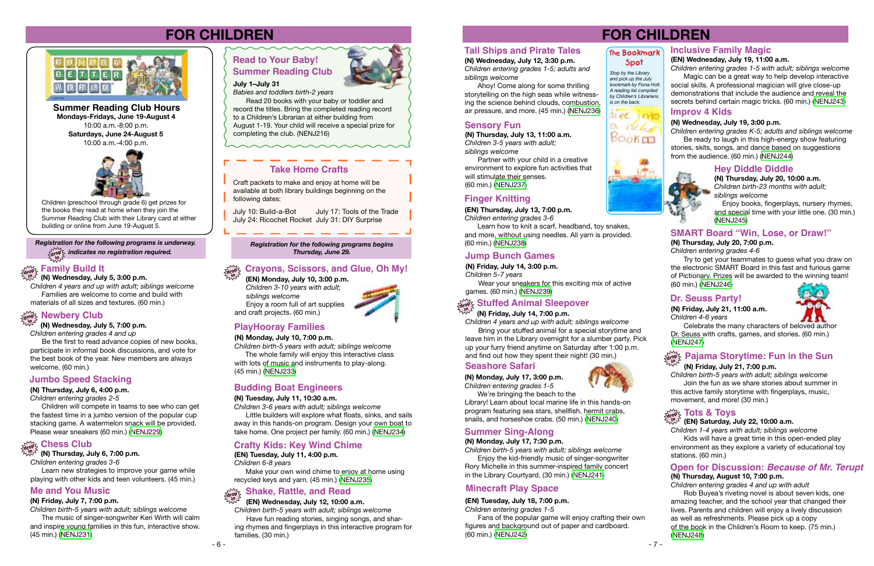

**(N) Wednesday, July 5, 3:00 p.m. in**

*Children 4 years and up with adult; siblings welcome* Families are welcome to come and build with materials of all sizes and textures. (60 min.)

#### $\frac{\sum\limits_{\alpha\in\mathcal{P}}\mathbb{P}}{\sum\limits_{\alpha\in\mathcal{P}}\mathbb{P}}$  Newbery Club **in**

**(N) Wednesday, July 5, 7:00 p.m.** *Children entering grades 4 and up*

 Be the first to read advance copies of new books, participate in informal book discussions, and vote for the best book of the year. New members are always welcome. (60 min.)

#### **Jumbo Speed Stacking**

#### **(N) Thursday, July 6, 4:00 p.m.**

*Children entering grades 2-5*

 Children will compete in teams to see who can get the fastest time in a jumbo version of the popular cup stacking game. A watermelon snack will be provided. Please wear sneakers (60 min.) [\(NENJ229\)](http://alpha1.suffolk.lib.ny.us/record%3Dg1073338~S43)

**(N) Thursday, July 6, 7:00 p.m.** *Children entering grades 3-6* Learn new strategies to improve your game while

## **Chess Club drop in**

playing with other kids and teen volunteers. (45 min.)

#### **Crayons, Scissors, and Glue, Oh My! drop**

#### **(EN) Monday, July 10, 3:00 p.m. in**

 *Children 3-10 years with adult; siblings welcome* Enjoy a room full of art supplies and craft projects. (60 min.)



#### **PlayHooray Families**

#### **(N) Monday, July 10, 7:00 p.m.**

*Children birth-5 years with adult; siblings welcome*

*Registration for the following programs is underway. Registration for the following programs begins*<br>*Registration for the following programs begins***<br><b>***Registration for the following programs begins Thursday, June 29.* **drop in** *indicates no registration required.*

#### $\mathcal{F}_{\text{drop}}^{\text{max}}$  Family Build It

 The whole family will enjoy this interactive class with lots of music and instruments to play-along. (45 min.) [\(NENJ233\)](http://alpha1.suffolk.lib.ny.us/record%3Dg1073344~S43)

#### **Budding Boat Engineers**

#### **(N) Tuesday, July 11, 10:30 a.m.**

*Children 3-6 years with adult; siblings welcome*

 Little builders will explore what floats, sinks, and sails away in this hands-on program. Design your own boat to take home. One project per family. (60 min.) ([NENJ234](http://alpha1.suffolk.lib.ny.us/record%3Dg1073345~S43))

#### **Crafty Kids: Key Wind Chime**

**(EN) Tuesday, July 11, 4:00 p.m.**

*Children 6-8 years*

 Make your own wind chime to enjoy at home using recycled keys and yarn. (45 min.) [\(NENJ235\)](http://alpha1.suffolk.lib.ny.us/record%3Dg1073299~S43)

#### **Me and You Music**

#### **(N) Friday, July 7, 7:00 p.m.**

*Children birth-5 years with adult; siblings welcome* The music of singer-songwriter Keri Wirth will calm and inspire young families in this fun, interactive show. (45 min.) ([NENJ231](http://alpha1.suffolk.lib.ny.us/record%3Dg1073343~S43))

#### We're bringing the beach to the Library! Learn about local marine life in this hands-on program featuring sea stars, shellfish, hermit crabs, snails, and horseshoe crabs. (50 min.) [\(NENJ240](http://alpha1.suffolk.lib.ny.us/record%3Dg1073352~S43))

 **(EN) Wednesday, July 12, 10:00 a.m.** *Children birth-5 years with adult; siblings welcome*

#### **Shake, Rattle, and Read drop in**

 Have fun reading stories, singing songs, and sharing rhymes and fingerplays in this interactive program for families. (30 min.)

**July 1–July 31**

*Babies and toddlers birth-2 years* Read 20 books with your baby or toddler and record the titles. Bring the completed reading record to a Children's Librarian at either building from August 1-19. Your child will receive a special prize for completing the club. (NENJ216)

**Mondays-Fridays, June 19-August 4**  10:00 a.m.-8:00 p.m. **Saturdays, June 24-August 5** 10:00 a.m.-4:00 p.m. **Summer Reading Club Hours**



Craft packets to make and enjoy at home will be available at both library buildings beginning on the following dates:

## **FOR CHILDREN**



Children (preschool through grade 6) get prizes for the books they read at home when they join the Summer Reading Club with their Library card at either building or online from June 19-August 5.

July 10: Build-a-Bot July 17: Tools of the Trade July 24: Ricochet Rocket July 31: DIY Surprise

#### **Summer Reading Club Read to Your Baby!**



#### **Take Home Crafts**

#### **Jump Bunch Games**

#### **(N) Friday, July 14, 3:00 p.m.**

*Children 5-7 years*

Wear your sneakers for this exciting mix of active games. (60 min.) [\(NENJ239](http://alpha1.suffolk.lib.ny.us/record%3Dg1073350~S43))

#### **(N) Friday, July 14, 7:00 p.m.**

#### **Stuffed Animal Sleepover drop in**

*Children 4 years and up with adult; siblings welcome* Bring your stuffed animal for a special storytime and leave him in the Library overnight for a slumber party. Pick up your furry friend anytime on Saturday after 1:00 p.m. and find out how they spent their night! (30 min.)

#### **Seashore Safari**

**(N) Monday, July 17, 3:00 p.m.** *Children entering grades 1-5*



#### **Summer Sing-Along**

#### **(N) Monday, July 17, 7:30 p.m.**

*Children birth-5 years with adult; siblings welcome* Enjoy the kid-friendly music of singer-songwriter Rory Michelle in this summer-inspired family concert in the Library Courtyard. (30 min.) [\(NENJ241](http://alpha1.suffolk.lib.ny.us/record%3Dg1073353~S43))

#### **Minecraft Play Space**

#### **(EN) Tuesday, July 18, 7:00 p.m.**

*Children entering grades 1-5*

Fans of the popular game will enjoy crafting their own figures and background out of paper and cardboard. (60 min.) [\(NENJ242\)](http://alpha1.suffolk.lib.ny.us/record%3Dg1073307~S43)

## **FOR CHILDREN**

## **Inclusive Family Magic**

#### **(EN) Wednesday, July 19, 11:00 a.m.**

*Children entering grades 1-5 with adult; siblings welcome* Magic can be a great way to help develop interactive social skills. A professional magician will give close-up demonstrations that include the audience and reveal the secrets behind certain magic tricks. (60 min.) [\(NENJ243\)](http://alpha1.suffolk.lib.ny.us/record%3Dg1073308~S43)

#### **Improv 4 Kids**

#### **(N) Wednesday, July 19, 3:00 p.m.**

*Children entering grades K-5; adults and siblings welcome* Be ready to laugh in this high-energy show featuring stories, skits, songs, and dance based on suggestions from the audience. (60 min.) ([NENJ244](http://alpha1.suffolk.lib.ny.us/record%3Dg1073358~S43))

#### **Hey Diddle Diddle**

**(N) Thursday, July 20, 10:00 a.m.** *Children birth-23 months with adult; siblings welcome*

Enjoy books, fingerplays, nursery rhymes, and special time with your little one. (30 min.) ([NENJ245\)](http://alpha1.suffolk.lib.ny.us/record%3Dg1073359~S43)

#### **Finger Knitting**

#### **(EN) Thursday, July 13, 7:00 p.m.**

*Children entering grades 3-6* Learn how to knit a scarf, headband, toy snakes,

and more, without using needles. All yarn is provided. (60 min.) ([NENJ238](http://alpha1.suffolk.lib.ny.us/record%3Dg1073306~S43))

## **Tall Ships and Pirate Tales**

#### **(N) Wednesday, July 12, 3:30 p.m.**

*Children entering grades 1-5; adults and siblings welcome*

Ahoy! Come along for some thrilling storytelling on the high seas while witnessing the science behind clouds, combustion, air pressure, and more. (45 min.) [\(NENJ236\)](http://alpha1.suffolk.lib.ny.us/record%3Dg1073346~S43)

#### **Sensory Fun**

**(N) Thursday, July 13, 11:00 a.m.** *Children 3-5 years with adult; siblings welcome*

Partner with your child in a creative environment to explore fun activities that will stimulate their senses. (60 min.) ([NENJ237](http://alpha1.suffolk.lib.ny.us/record%3Dg1073347~S43))

#### **SMART Board "Win, Lose, or Draw!"**

#### **(N) Thursday, July 20, 7:00 p.m.**

*Children entering grades 4-6*

Try to get your teammates to guess what you draw on the electronic SMART Board in this fast and furious game of Pictionary. Prizes will be awarded to the winning team! (60 min.) [\(NENJ246\)](http://alpha1.suffolk.lib.ny.us/record%3Dg1073361~S43)

#### **Dr. Seuss Party!**

**(N) Friday, July 21, 11:00 a.m.** *Children 4-6 years*



Celebrate the many characters of beloved author Dr. Seuss with crafts, games, and stories. (60 min.) ([NENJ247\)](http://alpha1.suffolk.lib.ny.us/record%3Dg1073362~S43)

## $\frac{\partial \mathbf{p}}{\partial \mathbf{p}}$  Pajama Storytime: Fun in the Sun

#### **(N) Friday, July 21, 7:00 p.m.**

*Children birth-5 years with adult; siblings welcome* Join the fun as we share stories about summer in this active family storytime with fingerplays, music, movement, and more! (30 min.)

#### $\sum_{\text{dropZ}}^{\infty}$  Tots & Toys

#### **(EN) Saturday, July 22, 10:00 a.m. in**

*Children 1-4 years with adult; siblings welcome* Kids will have a great time in this open-ended play environment as they explore a variety of educational toy stations. (60 min.)

*Stop by the Library and pick up the July bookmark by Fiona Holt. A reading list compiled by Children's Librarians* 

# live into

*is on the back.*





#### **The Bookmark Spot**

*Children entering grades 4 and up with adult* Rob Buyea's riveting novel is about seven kids, one amazing teacher, and the school year that changed their lives. Parents and children will enjoy a lively discussion as well as refreshments. Please pick up a copy of the book in the Children's Room to keep. (75 min.) [\(NENJ248\)](http://alpha1.suffolk.lib.ny.us/record%3Dg1073365~S43)

#### **(N) Thursday, August 10, 7:00 p.m. Open for Discussion:** *Because of Mr. Terupt*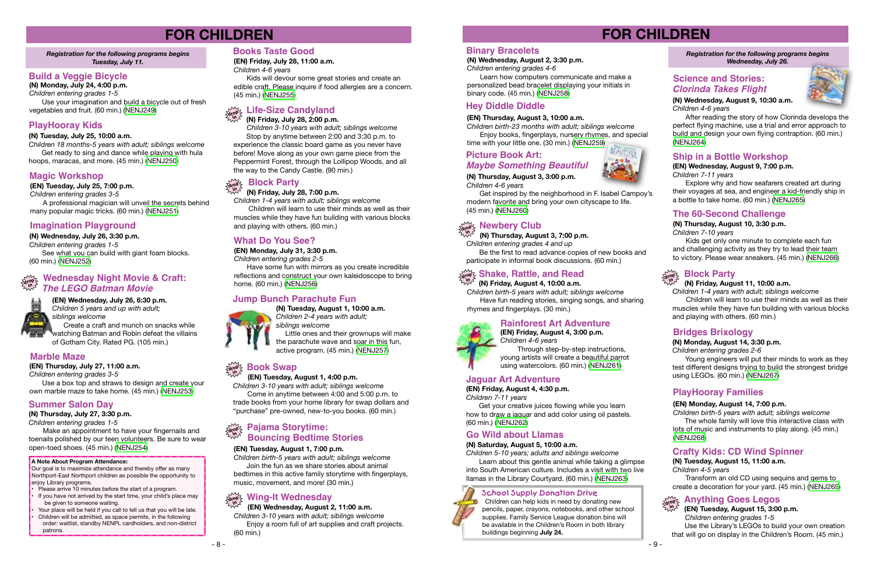

#### **Magic Workshop**

**(EN) Tuesday, July 25, 7:00 p.m.** *Children entering grades 3-5* A professional magician will unveil the secrets behind many popular magic tricks. (60 min.) [\(NENJ251\)](http://alpha1.suffolk.lib.ny.us/record%3Dg1073310~S43)

#### **Imagination Playground**

#### **(N) Wednesday, July 26, 3:30 p.m.**

*Children entering grades 1-5*

See what you can build with giant foam blocks. (60 min.) ([NENJ252](http://alpha1.suffolk.lib.ny.us/record%3Dg1073370~S43))

> **(EN) Wednesday, July 26, 6:30 p.m.** *Children 5 years and up with adult; siblings welcome*

#### **Wednesday Night Movie & Craft: drop in** *The LEGO Batman Movie*



 Create a craft and munch on snacks while watching Batman and Robin defeat the villains of Gotham City. Rated PG. (105 min.)

#### **Marble Maze**

**(EN) Thursday, July 27, 11:00 a.m.**

*Children entering grades 3-5*

Use a box top and straws to design and create your own marble maze to take home. (45 min.) [\(NENJ253\)](http://alpha1.suffolk.lib.ny.us/record%3Dg1073312~S43)

#### **Summer Salon Day**

**(N) Thursday, July 27, 3:30 p.m.** *Children entering grades 1-5*

 Make an appointment to have your fingernails and toenails polished by our teen volunteers. Be sure to wear open-toed shoes. (45 min.) [\(NENJ254\)](http://alpha1.suffolk.lib.ny.us/record%3Dg1073371~S43)

#### **Books Taste Good**

**(EN) Friday, July 28, 11:00 a.m.**

*Children 4-6 years*

Kids will devour some great stories and create an edible craft. Please inquire if food allergies are a concern. (45 min.) [\(NENJ255\)](http://alpha1.suffolk.lib.ny.us/record%3Dg1073313~S43)

#### **Life-Size Candyland drop**

#### **(N) Friday, July 28, 2:00 p.m. in**

*Children 3-10 years with adult; siblings welcome* Stop by anytime between 2:00 and 3:30 p.m. to experience the classic board game as you never have before! Move along as your own game piece from the Peppermint Forest, through the Lollipop Woods, and all the way to the Candy Castle. (90 min.)

#### **What Do You See?**

#### **(EN) Monday, July 31, 3:30 p.m.**

*Children entering grades 2-5*

Have some fun with mirrors as you create incredible reflections and construct your own kaleidoscope to bring home. (60 min.) ([NENJ256](http://alpha1.suffolk.lib.ny.us/record%3Dg1073315~S43))

#### **Block Party drop**

#### **(N) Friday, July 28, 7:00 p.m. in**

*Children 1-4 years with adult; siblings welcome* Children will learn to use their minds as well as their muscles while they have fun building with various blocks and playing with others. (60 min.)

## **FOR CHILDREN**

#### *Registration for the following programs begins Tuesday, July 11.*

#### **Build a Veggie Bicycle**

**(N) Monday, July 24, 4:00 p.m.** *Children entering grades 1-5*

> Get your creative juices flowing while you learn how to draw a jaguar and add color using oil pastels. (60 min.) [\(NENJ262](http://alpha1.suffolk.lib.ny.us/record%3Dg1073333~S43))

Use your imagination and build a bicycle out of fresh vegetables and fruit. (60 min.) [\(NENJ249\)](http://alpha1.suffolk.lib.ny.us/record%3Dg1073367~S43)

#### **PlayHooray Kids**

#### **(N) Tuesday, July 25, 10:00 a.m.**

*Children 18 months-5 years with adult; siblings welcome* Get ready to sing and dance while playing with hula hoops, maracas, and more. (45 min.) ([NENJ250\)](http://alpha1.suffolk.lib.ny.us/record%3Dg1073369~S43)

#### **Jump Bunch Parachute Fun**



**(N) Tuesday, August 1, 10:00 a.m.** *Children 2-4 years with adult; siblings welcome* Little ones and their grownups will make the parachute wave and soar in this fun, active program. (45 min.) ([NENJ257](http://alpha1.suffolk.lib.ny.us/record%3Dg1073375~S43))

#### **(EN) Tuesday, August 1, 4:00 p.m.**

*Children 3-10 years with adult; siblings welcome* Come in anytime between 4:00 and 5:00 p.m. to

#### **Book Swap drop in**

trade books from your home library for swap dollars and "purchase" pre-owned, new-to-you books. (60 min.)

#### **(EN) Tuesday, August 1, 7:00 p.m.**

#### **Pajama Storytime: drop in Bouncing Bedtime Stories**

*Children birth-5 years with adult; siblings welcome* Join the fun as we share stories about animal bedtimes in this active family storytime with fingerplays, music, movement, and more! (30 min.)

 **(EN) Wednesday, August 2, 11:00 a.m.**

## **Wing-It Wednesday drop in**

*Children 3-10 years with adult; siblings welcome* Enjoy a room full of art supplies and craft projects. (60 min.)

#### **A Note About Program Attendance:**

Our goal is to maximize attendance and thereby offer as many Northport-East Northport children as possible the opportunity to enjoy Library programs.

- Please arrive 10 minutes before the start of a program.
- If you have not arrived by the start time, your child's place may be given to someone waiting.
- Your place will be held if you call to tell us that you will be late. • Children will be admitted, as space permits, in the following order: waitlist, standby NENPL cardholders, and non-district patrons.

#### **Rainforest Art Adventure**



**(EN) Friday, August 4, 3:00 p.m.** *Children 4-6 years*

Through step-by-step instructions, young artists will create a beautiful parrot using watercolors. (60 min.) [\(NENJ261\)](http://alpha1.suffolk.lib.ny.us/record%3Dg1073331~S43)

#### **Jaguar Art Adventure**

**(EN) Friday, August 4, 4:30 p.m.**

*Children 7-11 years*

#### **Go Wild about Llamas**

#### **(N) Saturday, August 5, 10:00 a.m.**

*Children 5-10 years; adults and siblings welcome* Learn about this gentle animal while taking a glimpse into South American culture. Includes a visit with two live llamas in the Library Courtyard. (60 min.) [\(NENJ263\)](http://alpha1.suffolk.lib.ny.us/record%3Dg1073380~S43)

## **FOR CHILDREN**

*Registration for the following programs begins Wednesday, July 26.* 

#### **Science and Stories:** *Clorinda Takes Flight*



**(N) Wednesday, August 9, 10:30 a.m.** *Children 4-6 years*

After reading the story of how Clorinda develops the perfect flying machine, use a trial and error approach to build and design your own flying contraption. (60 min.) ([NENJ264](http://alpha1.suffolk.lib.ny.us/record%3Dg1073390~S43))

#### **Ship in a Bottle Workshop**

#### **(EN) Wednesday, August 9, 7:00 p.m.** *Children 7-11 years*

Explore why and how seafarers created art during their voyages at sea, and engineer a kid-friendly ship in a bottle to take home. (60 min.) ([NENJ265](http://alpha1.suffolk.lib.ny.us/record%3Dg1073334~S43))

#### **The 60-Second Challenge**

#### **(N) Thursday, August 10, 3:30 p.m.**

*Children 7-10 years*

Kids get only one minute to complete each fun and challenging activity as they try to lead their team to victory. Please wear sneakers. (45 min.) [\(NENJ266\)](http://alpha1.suffolk.lib.ny.us/record%3Dg1073393~S43)

#### **Block Party**

#### **(N) Friday, August 11, 10:00 a.m.**

*Children 1-4 years with adult; siblings welcome*

 Children will learn to use their minds as well as their muscles while they have fun building with various blocks and playing with others. (60 min.)



#### **Bridges Brixology**

#### **(N) Monday, August 14, 3:30 p.m.** *Children entering grades 2-6*

Young engineers will put their minds to work as they test different designs trying to build the strongest bridge using LEGOs. (60 min.) [\(NENJ267\)](http://alpha1.suffolk.lib.ny.us/record%3Dg1073396~S43)

#### **PlayHooray Families**

#### **(EN) Monday, August 14, 7:00 p.m.**

*Children birth-5 years with adult; siblings welcome* The whole family will love this interactive class with lots of music and instruments to play along. (45 min.) [\(NENJ268\)](http://alpha1.suffolk.lib.ny.us/record%3Dg1073335~S43)

#### **Crafty Kids: CD Wind Spinner**

#### **(N) Tuesday, August 15, 11:00 a.m.** *Children 4-5 years*

Transform an old CD using sequins and gems to create a decoration for your yard. (45 min.) [\(NENJ269\)](http://alpha1.suffolk.lib.ny.us/record%3Dg1073398~S43)

- 9 -

#### **Binary Bracelets**

#### **(N) Wednesday, August 2, 3:30 p.m.** *Children entering grades 4-6*

Learn how computers communicate and make a personalized bead bracelet displaying your initials in binary code. (45 min.) ([NENJ258](http://alpha1.suffolk.lib.ny.us/record%3Dg1073376~S43))

#### **Hey Diddle Diddle**

#### **(EN) Thursday, August 3, 10:00 a.m.**

*Children birth-23 months with adult; siblings welcome* Enjoy books, fingerplays, nursery rhymes, and special

time with your little one. (30 min.) ([NENJ259](http://alpha1.suffolk.lib.ny.us/record%3Dg1073322~S43))

#### **(N) Thursday, August 3, 3:00 p.m.**

*Children 4-6 years*

#### **Picture Book Art:** *Maybe Something Beautiful*

Get inspired by the neighborhood in F. Isabel Campoy's modern favorite and bring your own cityscape to life. (45 min.) [\(NENJ260\)](http://alpha1.suffolk.lib.ny.us/record%3Dg1073377~S43)

## $\sum_{\text{drop}_\text{X}^2}^\infty$  Newbery Club

#### **(N) Friday, August 4, 10:00 a.m.**

*Children birth-5 years with adult; siblings welcome* Have fun reading stories, singing songs, and sharing rhymes and fingerplays. (30 min.)

*Children entering grades 4 and up*

 **(N) Thursday, August 3, 7:00 p.m. in**

Be the first to read advance copies of new books and participate in informal book discussions. (60 min.)

## $\frac{d}{dx}$  Shake, Rattle, and Read

 **Anything Goes Legos**

#### **(EN) Tuesday, August 15, 3:00 p.m.**

*Children entering grades 1-5* 

Use the Library's LEGOs to build your own creation that will go on display in the Children's Room. (45 min.)

**drop in**

#### **School Supply Donation Drive**



Children can help kids in need by donating new pencils, paper, crayons, notebooks, and other school supplies. Family Service League donation bins will be available in the Children's Room in both library buildings beginning **July 24.**